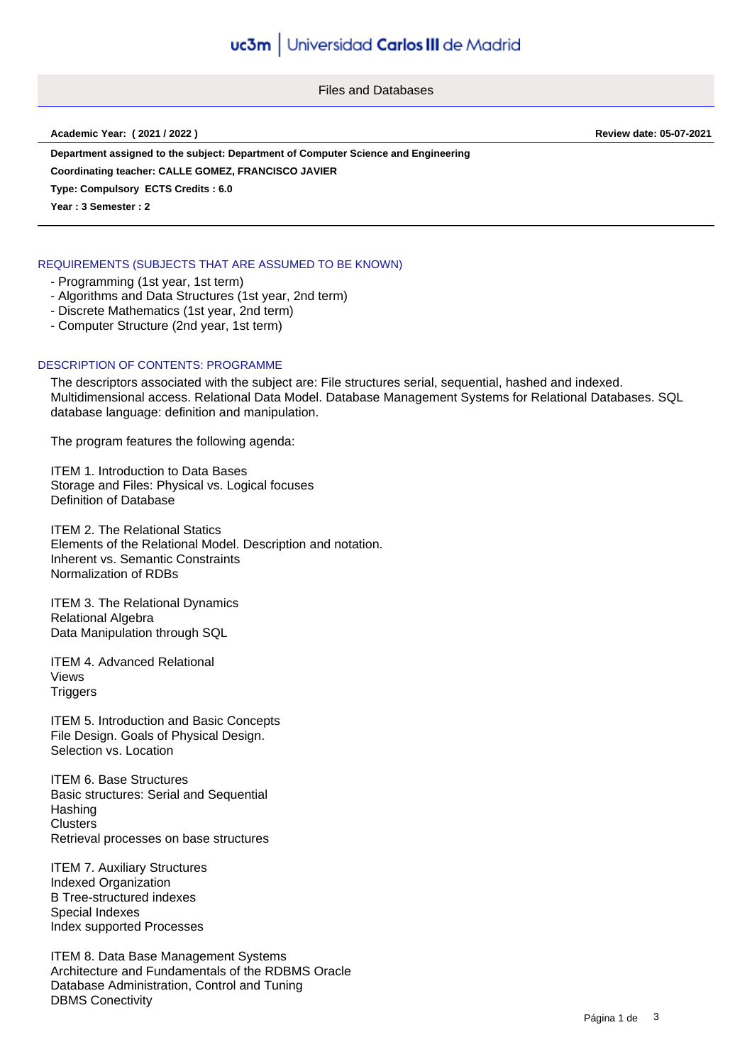Files and Databases

**Academic Year: ( 2021 / 2022 ) Review date: 05-07-2021**

**Department assigned to the subject: Department of Computer Science and Engineering**

**Coordinating teacher: CALLE GOMEZ, FRANCISCO JAVIER**

**Type: Compulsory ECTS Credits : 6.0**

**Year : 3 Semester : 2**

# REQUIREMENTS (SUBJECTS THAT ARE ASSUMED TO BE KNOWN)

- Programming (1st year, 1st term)
- Algorithms and Data Structures (1st year, 2nd term)
- Discrete Mathematics (1st year, 2nd term)
- Computer Structure (2nd year, 1st term)

### DESCRIPTION OF CONTENTS: PROGRAMME

The descriptors associated with the subject are: File structures serial, sequential, hashed and indexed. Multidimensional access. Relational Data Model. Database Management Systems for Relational Databases. SQL database language: definition and manipulation.

The program features the following agenda:

ITEM 1. Introduction to Data Bases Storage and Files: Physical vs. Logical focuses Definition of Database

ITEM 2. The Relational Statics Elements of the Relational Model. Description and notation. Inherent vs. Semantic Constraints Normalization of RDBs

ITEM 3. The Relational Dynamics Relational Algebra Data Manipulation through SQL

ITEM 4. Advanced Relational Views **Triggers** 

ITEM 5. Introduction and Basic Concepts File Design. Goals of Physical Design. Selection vs. Location

ITEM 6. Base Structures Basic structures: Serial and Sequential **Hashing Clusters** Retrieval processes on base structures

ITEM 7. Auxiliary Structures Indexed Organization B Tree-structured indexes Special Indexes Index supported Processes

ITEM 8. Data Base Management Systems Architecture and Fundamentals of the RDBMS Oracle Database Administration, Control and Tuning DBMS Conectivity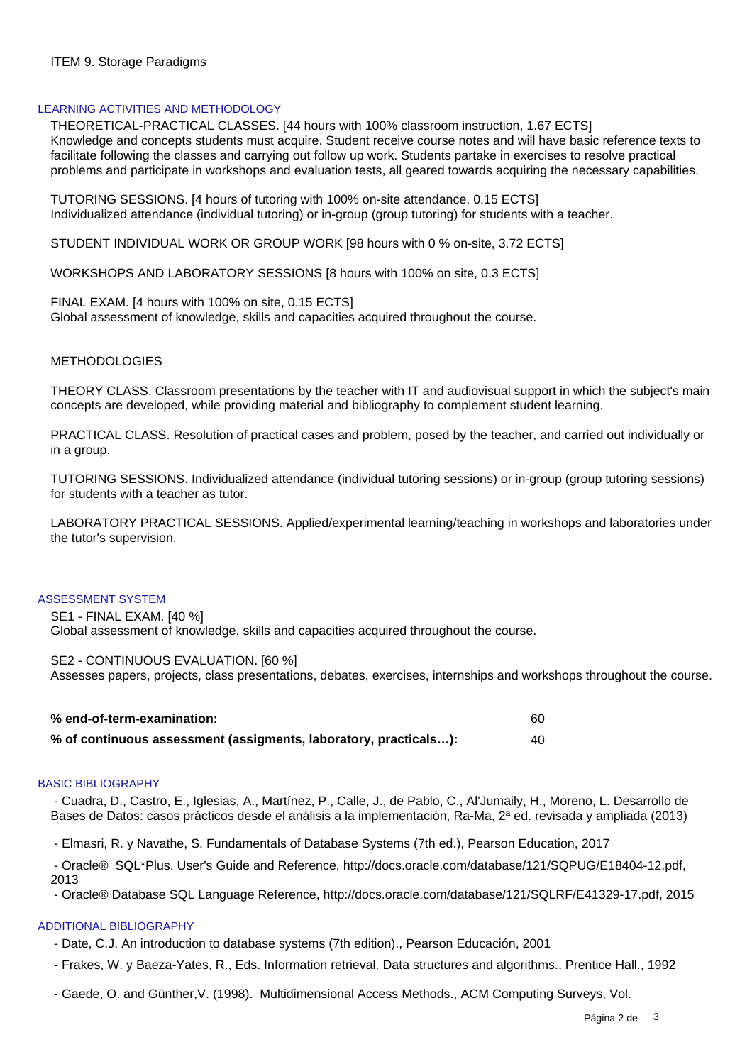# ITEM 9. Storage Paradigms

### LEARNING ACTIVITIES AND METHODOLOGY

THEORETICAL-PRACTICAL CLASSES. [44 hours with 100% classroom instruction, 1.67 ECTS] Knowledge and concepts students must acquire. Student receive course notes and will have basic reference texts to facilitate following the classes and carrying out follow up work. Students partake in exercises to resolve practical problems and participate in workshops and evaluation tests, all geared towards acquiring the necessary capabilities.

TUTORING SESSIONS. [4 hours of tutoring with 100% on-site attendance, 0.15 ECTS] Individualized attendance (individual tutoring) or in-group (group tutoring) for students with a teacher.

STUDENT INDIVIDUAL WORK OR GROUP WORK [98 hours with 0 % on-site, 3.72 ECTS]

WORKSHOPS AND LABORATORY SESSIONS [8 hours with 100% on site, 0.3 ECTS]

FINAL EXAM. [4 hours with 100% on site, 0.15 ECTS] Global assessment of knowledge, skills and capacities acquired throughout the course.

### **METHODOLOGIES**

THEORY CLASS. Classroom presentations by the teacher with IT and audiovisual support in which the subject's main concepts are developed, while providing material and bibliography to complement student learning.

PRACTICAL CLASS. Resolution of practical cases and problem, posed by the teacher, and carried out individually or in a group.

TUTORING SESSIONS. Individualized attendance (individual tutoring sessions) or in-group (group tutoring sessions) for students with a teacher as tutor.

LABORATORY PRACTICAL SESSIONS. Applied/experimental learning/teaching in workshops and laboratories under the tutor's supervision.

### ASSESSMENT SYSTEM

SE1 - FINAL EXAM. [40 %]

Global assessment of knowledge, skills and capacities acquired throughout the course.

SE2 - CONTINUOUS EVALUATION. [60 %]

Assesses papers, projects, class presentations, debates, exercises, internships and workshops throughout the course.

| % end-of-term-examination:                                       |  |
|------------------------------------------------------------------|--|
| % of continuous assessment (assigments, laboratory, practicals): |  |

### BASIC BIBLIOGRAPHY

 - Cuadra, D., Castro, E., Iglesias, A., Martínez, P., Calle, J., de Pablo, C., Al'Jumaily, H., Moreno, L. Desarrollo de Bases de Datos: casos prácticos desde el análisis a la implementación, Ra-Ma, 2ª ed. revisada y ampliada (2013)

- Elmasri, R. y Navathe, S. Fundamentals of Database Systems (7th ed.), Pearson Education, 2017

 - Oracle® SQL\*Plus. User's Guide and Reference, http://docs.oracle.com/database/121/SQPUG/E18404-12.pdf, 2013

- Oracle® Database SQL Language Reference, http://docs.oracle.com/database/121/SQLRF/E41329-17.pdf, 2015

### ADDITIONAL BIBLIOGRAPHY

- Date, C.J. An introduction to database systems (7th edition)., Pearson Educación, 2001
- Frakes, W. y Baeza-Yates, R., Eds. Information retrieval. Data structures and algorithms., Prentice Hall., 1992
- Gaede, O. and Günther,V. (1998). Multidimensional Access Methods., ACM Computing Surveys, Vol.